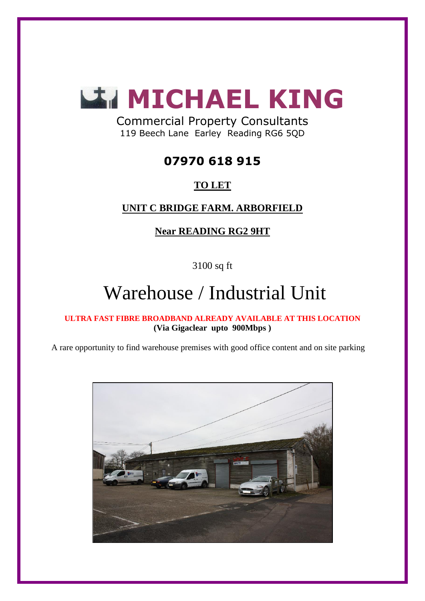# **MICHAEL KING**

Commercial Property Consultants 119 Beech Lane Earley Reading RG6 5QD

# **07970 618 915**

## **TO LET**

## **UNIT C BRIDGE FARM. ARBORFIELD**

**Near READING RG2 9HT**

3100 sq ft

# Warehouse / Industrial Unit

### **ULTRA FAST FIBRE BROADBAND ALREADY AVAILABLE AT THIS LOCATION (Via Gigaclear upto 900Mbps )**

A rare opportunity to find warehouse premises with good office content and on site parking

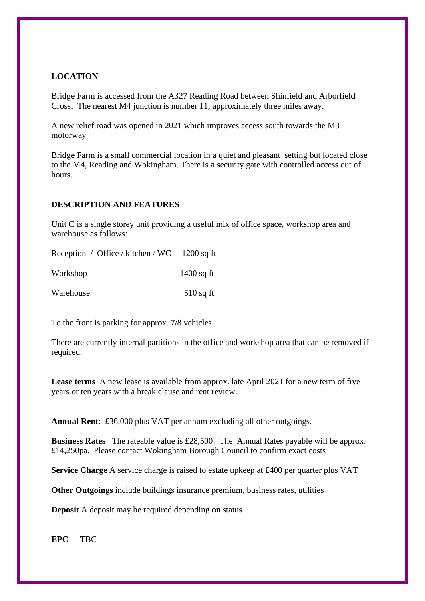### **LOCATION**

Bridge Farm is accessed from the A327 Reading Road between Shinfield and Arborfield Cross. The nearest M4 junction is number 11, approximately three miles away.

A new relief road was opened in 2021 which improves access south towards the M3 motorway

Bridge Farm is a small commercial location in a quiet and pleasant setting but located close to the M4, Reading and Wokingham. There is a security gate with controlled access out of hours.

#### **DESCRIPTION AND FEATURES**

Unit C is a single storey unit providing a useful mix of office space, workshop area and warehouse as follows:

| Reception / Office / kitchen / WC $1200$ sq ft |              |
|------------------------------------------------|--------------|
| Workshop                                       | $1400$ sq ft |
| Warehouse                                      | $510$ sq ft  |

To the front is parking for approx. 7/8 vehicles

There are currently internal partitions in the office and workshop area that can be removed if required.

**Lease terms** A new lease is available from approx. late April 2021 for a new term of five years or ten years with a break clause and rent review.

**Annual Rent**: £36,000 plus VAT per annum excluding all other outgoings.

**Business Rates** The rateable value is £28,500. The Annual Rates payable will be approx. £14,250pa. Please contact Wokingham Borough Council to confirm exact costs

**Service Charge** A service charge is raised to estate upkeep at £400 per quarter plus VAT

**Other Outgoings** include buildings insurance premium, business rates, utilities

**Deposit** A deposit may be required depending on status

**EPC** - TBC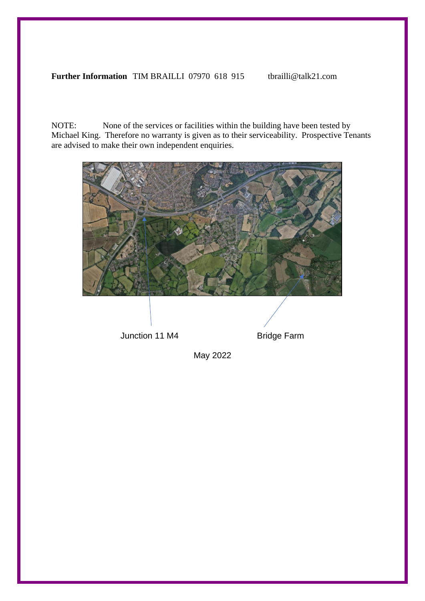**Further Information** TIM BRAILLI 07970 618 915 tbrailli@talk21.com

NOTE: None of the services or facilities within the building have been tested by Michael King. Therefore no warranty is given as to their serviceability. Prospective Tenants are advised to make their own independent enquiries.



Junction 11 M4 Bridge Farm

May 2022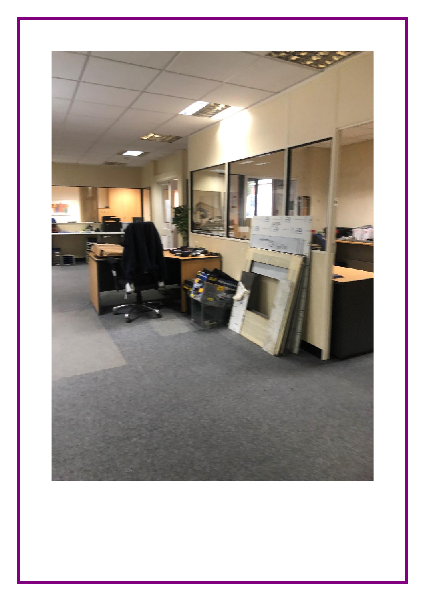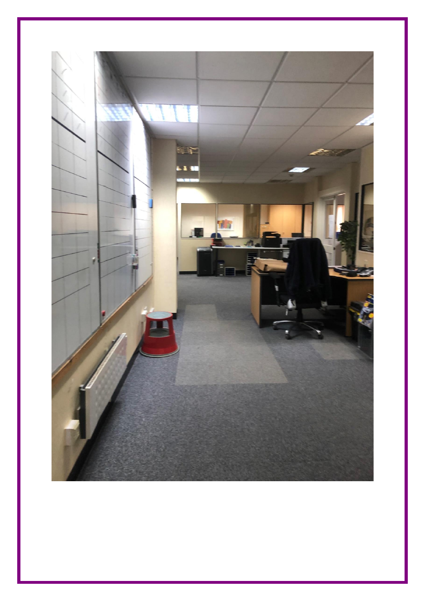